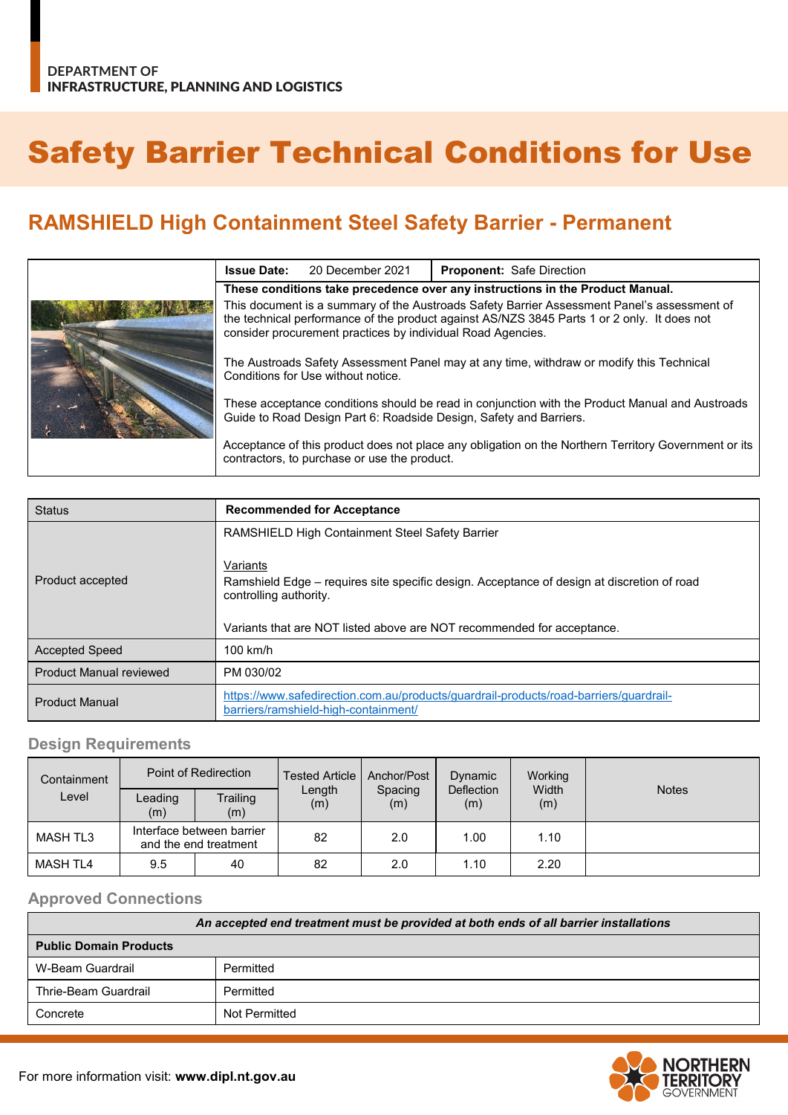# Safety Barrier Technical Conditions for Use

# **RAMSHIELD High Containment Steel Safety Barrier - Permanent**

| <b>Issue Date:</b>                                                                                                                                                                                                                                        | 20 December 2021 | <b>Proponent: Safe Direction</b> |  |
|-----------------------------------------------------------------------------------------------------------------------------------------------------------------------------------------------------------------------------------------------------------|------------------|----------------------------------|--|
| These conditions take precedence over any instructions in the Product Manual.                                                                                                                                                                             |                  |                                  |  |
| This document is a summary of the Austroads Safety Barrier Assessment Panel's assessment of<br>the technical performance of the product against AS/NZS 3845 Parts 1 or 2 only. It does not<br>consider procurement practices by individual Road Agencies. |                  |                                  |  |
| The Austroads Safety Assessment Panel may at any time, withdraw or modify this Technical<br>Conditions for Use without notice.                                                                                                                            |                  |                                  |  |
| These acceptance conditions should be read in conjunction with the Product Manual and Austroads<br>Guide to Road Design Part 6: Roadside Design, Safety and Barriers.                                                                                     |                  |                                  |  |
| Acceptance of this product does not place any obligation on the Northern Territory Government or its<br>contractors, to purchase or use the product.                                                                                                      |                  |                                  |  |

| <b>Status</b>                  | <b>Recommended for Acceptance</b>                                                                                                                                                                          |  |  |  |
|--------------------------------|------------------------------------------------------------------------------------------------------------------------------------------------------------------------------------------------------------|--|--|--|
|                                | <b>RAMSHIELD High Containment Steel Safety Barrier</b>                                                                                                                                                     |  |  |  |
| Product accepted               | Variants<br>Ramshield Edge – requires site specific design. Acceptance of design at discretion of road<br>controlling authority.<br>Variants that are NOT listed above are NOT recommended for acceptance. |  |  |  |
| <b>Accepted Speed</b>          | $100$ km/h                                                                                                                                                                                                 |  |  |  |
| <b>Product Manual reviewed</b> | PM 030/02                                                                                                                                                                                                  |  |  |  |
| <b>Product Manual</b>          | https://www.safedirection.com.au/products/guardrail-products/road-barriers/guardrail-<br>barriers/ramshield-high-containment/                                                                              |  |  |  |

#### **Design Requirements**

| Containment     | Point of Redirection                               |                 | <b>Tested Article</b> | Anchor/Post    | Dynamic           | Working      |              |
|-----------------|----------------------------------------------------|-----------------|-----------------------|----------------|-------------------|--------------|--------------|
| Level           | ∟eading<br>(m)                                     | Trailing<br>(m) | Length<br>(m)         | Spacing<br>(m) | Deflection<br>(m) | Width<br>(m) | <b>Notes</b> |
| <b>MASH TL3</b> | Interface between barrier<br>and the end treatment |                 | 82                    | 2.0            | 1.00              | 1.10         |              |
| <b>MASH TL4</b> | 9.5                                                | 40              | 82                    | 2.0            | 1.10              | 2.20         |              |

### **Approved Connections**

| An accepted end treatment must be provided at both ends of all barrier installations |               |  |  |
|--------------------------------------------------------------------------------------|---------------|--|--|
| <b>Public Domain Products</b>                                                        |               |  |  |
| W-Beam Guardrail                                                                     | Permitted     |  |  |
| Thrie-Beam Guardrail                                                                 | Permitted     |  |  |
| Concrete                                                                             | Not Permitted |  |  |